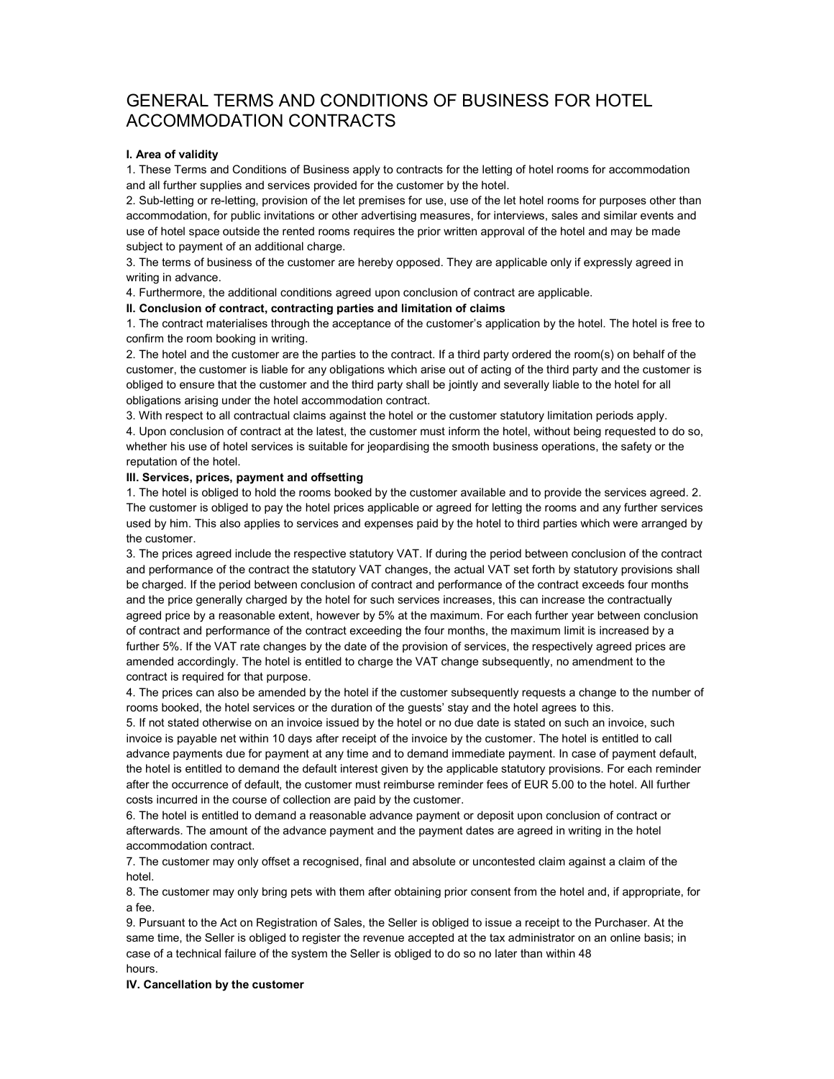# GENERAL TERMS AND CONDITIONS OF BUSINESS FOR HOTEL ACCOMMODATION CONTRACTS

## I. Area of validity

1. These Terms and Conditions of Business apply to contracts for the letting of hotel rooms for accommodation and all further supplies and services provided for the customer by the hotel.

2. Sub-letting or re-letting, provision of the let premises for use, use of the let hotel rooms for purposes other than accommodation, for public invitations or other advertising measures, for interviews, sales and similar events and use of hotel space outside the rented rooms requires the prior written approval of the hotel and may be made subject to payment of an additional charge.

3. The terms of business of the customer are hereby opposed. They are applicable only if expressly agreed in writing in advance.

4. Furthermore, the additional conditions agreed upon conclusion of contract are applicable.

II. Conclusion of contract, contracting parties and limitation of claims

1. The contract materialises through the acceptance of the customer's application by the hotel. The hotel is free to confirm the room booking in writing.

2. The hotel and the customer are the parties to the contract. If a third party ordered the room(s) on behalf of the customer, the customer is liable for any obligations which arise out of acting of the third party and the customer is obliged to ensure that the customer and the third party shall be jointly and severally liable to the hotel for all obligations arising under the hotel accommodation contract.

3. With respect to all contractual claims against the hotel or the customer statutory limitation periods apply.

4. Upon conclusion of contract at the latest, the customer must inform the hotel, without being requested to do so, whether his use of hotel services is suitable for jeopardising the smooth business operations, the safety or the reputation of the hotel.

### III. Services, prices, payment and offsetting

1. The hotel is obliged to hold the rooms booked by the customer available and to provide the services agreed. 2. The customer is obliged to pay the hotel prices applicable or agreed for letting the rooms and any further services used by him. This also applies to services and expenses paid by the hotel to third parties which were arranged by the customer.

3. The prices agreed include the respective statutory VAT. If during the period between conclusion of the contract and performance of the contract the statutory VAT changes, the actual VAT set forth by statutory provisions shall be charged. If the period between conclusion of contract and performance of the contract exceeds four months and the price generally charged by the hotel for such services increases, this can increase the contractually agreed price by a reasonable extent, however by 5% at the maximum. For each further year between conclusion of contract and performance of the contract exceeding the four months, the maximum limit is increased by a further 5%. If the VAT rate changes by the date of the provision of services, the respectively agreed prices are amended accordingly. The hotel is entitled to charge the VAT change subsequently, no amendment to the contract is required for that purpose.

4. The prices can also be amended by the hotel if the customer subsequently requests a change to the number of rooms booked, the hotel services or the duration of the guests' stay and the hotel agrees to this.

5. If not stated otherwise on an invoice issued by the hotel or no due date is stated on such an invoice, such invoice is payable net within 10 days after receipt of the invoice by the customer. The hotel is entitled to call advance payments due for payment at any time and to demand immediate payment. In case of payment default, the hotel is entitled to demand the default interest given by the applicable statutory provisions. For each reminder after the occurrence of default, the customer must reimburse reminder fees of EUR 5.00 to the hotel. All further costs incurred in the course of collection are paid by the customer.

6. The hotel is entitled to demand a reasonable advance payment or deposit upon conclusion of contract or afterwards. The amount of the advance payment and the payment dates are agreed in writing in the hotel accommodation contract.

7. The customer may only offset a recognised, final and absolute or uncontested claim against a claim of the hotel.

8. The customer may only bring pets with them after obtaining prior consent from the hotel and, if appropriate, for a fee.

9. Pursuant to the Act on Registration of Sales, the Seller is obliged to issue a receipt to the Purchaser. At the same time, the Seller is obliged to register the revenue accepted at the tax administrator on an online basis; in case of a technical failure of the system the Seller is obliged to do so no later than within 48 hours.

IV. Cancellation by the customer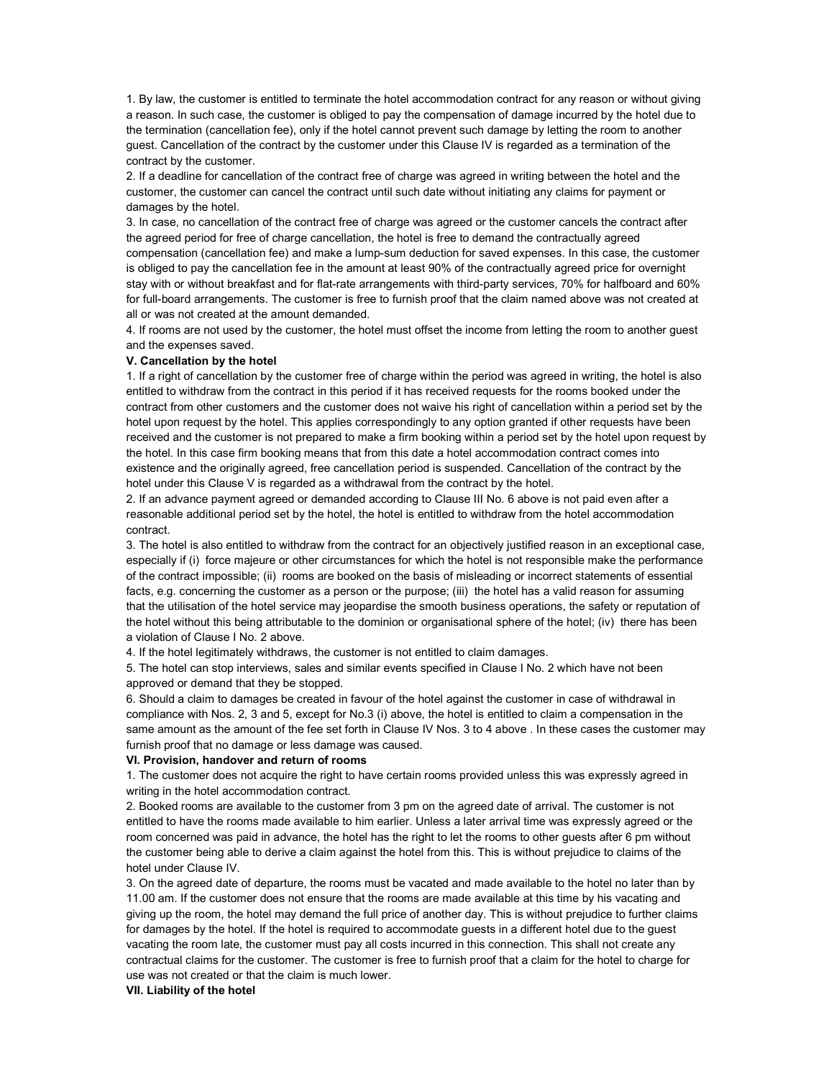1. By law, the customer is entitled to terminate the hotel accommodation contract for any reason or without giving a reason. In such case, the customer is obliged to pay the compensation of damage incurred by the hotel due to the termination (cancellation fee), only if the hotel cannot prevent such damage by letting the room to another guest. Cancellation of the contract by the customer under this Clause IV is regarded as a termination of the contract by the customer.

2. If a deadline for cancellation of the contract free of charge was agreed in writing between the hotel and the customer, the customer can cancel the contract until such date without initiating any claims for payment or damages by the hotel.

3. In case, no cancellation of the contract free of charge was agreed or the customer cancels the contract after the agreed period for free of charge cancellation, the hotel is free to demand the contractually agreed compensation (cancellation fee) and make a lump-sum deduction for saved expenses. In this case, the customer is obliged to pay the cancellation fee in the amount at least 90% of the contractually agreed price for overnight stay with or without breakfast and for flat-rate arrangements with third-party services, 70% for halfboard and 60% for full-board arrangements. The customer is free to furnish proof that the claim named above was not created at all or was not created at the amount demanded.

4. If rooms are not used by the customer, the hotel must offset the income from letting the room to another guest and the expenses saved.

## V. Cancellation by the hotel

1. If a right of cancellation by the customer free of charge within the period was agreed in writing, the hotel is also entitled to withdraw from the contract in this period if it has received requests for the rooms booked under the contract from other customers and the customer does not waive his right of cancellation within a period set by the hotel upon request by the hotel. This applies correspondingly to any option granted if other requests have been received and the customer is not prepared to make a firm booking within a period set by the hotel upon request by the hotel. In this case firm booking means that from this date a hotel accommodation contract comes into existence and the originally agreed, free cancellation period is suspended. Cancellation of the contract by the hotel under this Clause V is regarded as a withdrawal from the contract by the hotel.

2. If an advance payment agreed or demanded according to Clause III No. 6 above is not paid even after a reasonable additional period set by the hotel, the hotel is entitled to withdraw from the hotel accommodation contract.

3. The hotel is also entitled to withdraw from the contract for an objectively justified reason in an exceptional case, especially if (i) force majeure or other circumstances for which the hotel is not responsible make the performance of the contract impossible; (ii) rooms are booked on the basis of misleading or incorrect statements of essential facts, e.g. concerning the customer as a person or the purpose; (iii) the hotel has a valid reason for assuming that the utilisation of the hotel service may jeopardise the smooth business operations, the safety or reputation of the hotel without this being attributable to the dominion or organisational sphere of the hotel; (iv) there has been a violation of Clause I No. 2 above.

4. If the hotel legitimately withdraws, the customer is not entitled to claim damages.

5. The hotel can stop interviews, sales and similar events specified in Clause I No. 2 which have not been approved or demand that they be stopped.

6. Should a claim to damages be created in favour of the hotel against the customer in case of withdrawal in compliance with Nos. 2, 3 and 5, except for No.3 (i) above, the hotel is entitled to claim a compensation in the same amount as the amount of the fee set forth in Clause IV Nos. 3 to 4 above . In these cases the customer may furnish proof that no damage or less damage was caused.

#### VI. Provision, handover and return of rooms

1. The customer does not acquire the right to have certain rooms provided unless this was expressly agreed in writing in the hotel accommodation contract.

2. Booked rooms are available to the customer from 3 pm on the agreed date of arrival. The customer is not entitled to have the rooms made available to him earlier. Unless a later arrival time was expressly agreed or the room concerned was paid in advance, the hotel has the right to let the rooms to other guests after 6 pm without the customer being able to derive a claim against the hotel from this. This is without prejudice to claims of the hotel under Clause IV.

3. On the agreed date of departure, the rooms must be vacated and made available to the hotel no later than by 11.00 am. If the customer does not ensure that the rooms are made available at this time by his vacating and giving up the room, the hotel may demand the full price of another day. This is without prejudice to further claims for damages by the hotel. If the hotel is required to accommodate guests in a different hotel due to the guest vacating the room late, the customer must pay all costs incurred in this connection. This shall not create any contractual claims for the customer. The customer is free to furnish proof that a claim for the hotel to charge for use was not created or that the claim is much lower.

VII. Liability of the hotel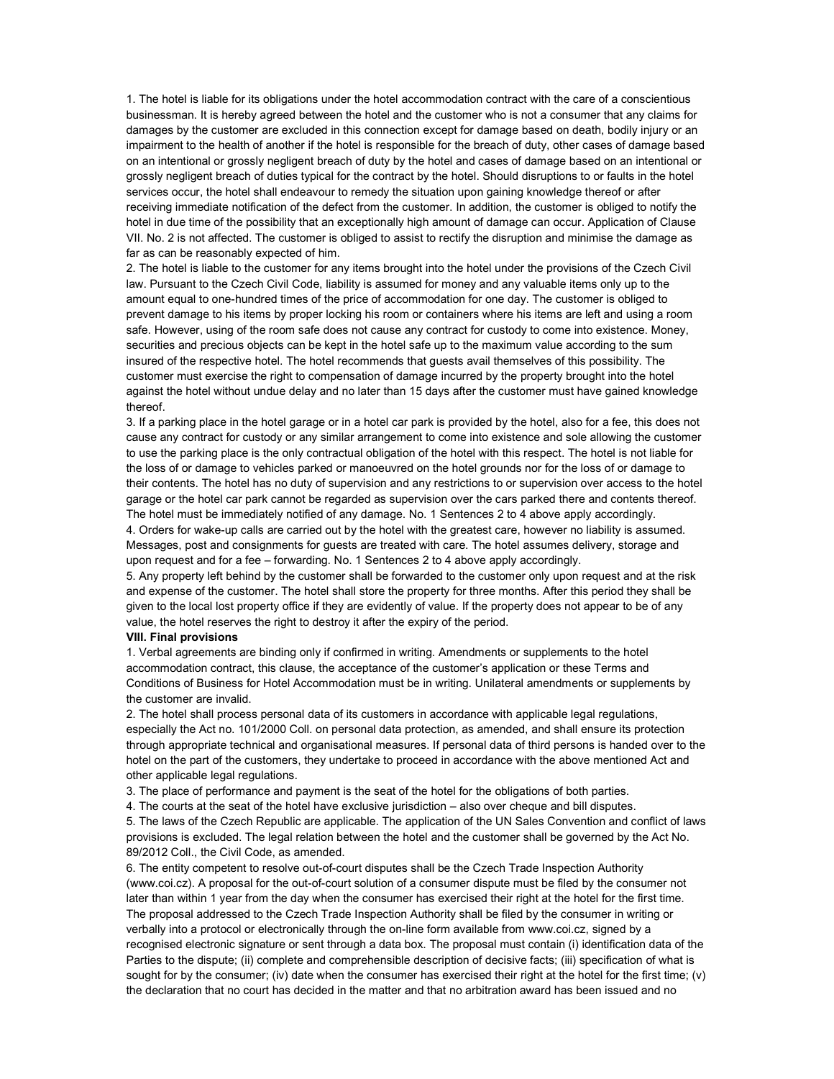1. The hotel is liable for its obligations under the hotel accommodation contract with the care of a conscientious businessman. It is hereby agreed between the hotel and the customer who is not a consumer that any claims for damages by the customer are excluded in this connection except for damage based on death, bodily injury or an impairment to the health of another if the hotel is responsible for the breach of duty, other cases of damage based on an intentional or grossly negligent breach of duty by the hotel and cases of damage based on an intentional or grossly negligent breach of duties typical for the contract by the hotel. Should disruptions to or faults in the hotel services occur, the hotel shall endeavour to remedy the situation upon gaining knowledge thereof or after receiving immediate notification of the defect from the customer. In addition, the customer is obliged to notify the hotel in due time of the possibility that an exceptionally high amount of damage can occur. Application of Clause VII. No. 2 is not affected. The customer is obliged to assist to rectify the disruption and minimise the damage as far as can be reasonably expected of him.

2. The hotel is liable to the customer for any items brought into the hotel under the provisions of the Czech Civil law. Pursuant to the Czech Civil Code, liability is assumed for money and any valuable items only up to the amount equal to one-hundred times of the price of accommodation for one day. The customer is obliged to prevent damage to his items by proper locking his room or containers where his items are left and using a room safe. However, using of the room safe does not cause any contract for custody to come into existence. Money, securities and precious objects can be kept in the hotel safe up to the maximum value according to the sum insured of the respective hotel. The hotel recommends that guests avail themselves of this possibility. The customer must exercise the right to compensation of damage incurred by the property brought into the hotel against the hotel without undue delay and no later than 15 days after the customer must have gained knowledge thereof.

3. If a parking place in the hotel garage or in a hotel car park is provided by the hotel, also for a fee, this does not cause any contract for custody or any similar arrangement to come into existence and sole allowing the customer to use the parking place is the only contractual obligation of the hotel with this respect. The hotel is not liable for the loss of or damage to vehicles parked or manoeuvred on the hotel grounds nor for the loss of or damage to their contents. The hotel has no duty of supervision and any restrictions to or supervision over access to the hotel garage or the hotel car park cannot be regarded as supervision over the cars parked there and contents thereof. The hotel must be immediately notified of any damage. No. 1 Sentences 2 to 4 above apply accordingly.

4. Orders for wake-up calls are carried out by the hotel with the greatest care, however no liability is assumed. Messages, post and consignments for guests are treated with care. The hotel assumes delivery, storage and upon request and for a fee – forwarding. No. 1 Sentences 2 to 4 above apply accordingly.

5. Any property left behind by the customer shall be forwarded to the customer only upon request and at the risk and expense of the customer. The hotel shall store the property for three months. After this period they shall be given to the local lost property office if they are evidently of value. If the property does not appear to be of any value, the hotel reserves the right to destroy it after the expiry of the period.

#### VIII. Final provisions

1. Verbal agreements are binding only if confirmed in writing. Amendments or supplements to the hotel accommodation contract, this clause, the acceptance of the customer's application or these Terms and Conditions of Business for Hotel Accommodation must be in writing. Unilateral amendments or supplements by the customer are invalid.

2. The hotel shall process personal data of its customers in accordance with applicable legal regulations, especially the Act no. 101/2000 Coll. on personal data protection, as amended, and shall ensure its protection through appropriate technical and organisational measures. If personal data of third persons is handed over to the hotel on the part of the customers, they undertake to proceed in accordance with the above mentioned Act and other applicable legal regulations.

3. The place of performance and payment is the seat of the hotel for the obligations of both parties.

4. The courts at the seat of the hotel have exclusive jurisdiction – also over cheque and bill disputes.

5. The laws of the Czech Republic are applicable. The application of the UN Sales Convention and conflict of laws provisions is excluded. The legal relation between the hotel and the customer shall be governed by the Act No. 89/2012 Coll., the Civil Code, as amended.

6. The entity competent to resolve out-of-court disputes shall be the Czech Trade Inspection Authority (www.coi.cz). A proposal for the out-of-court solution of a consumer dispute must be filed by the consumer not later than within 1 year from the day when the consumer has exercised their right at the hotel for the first time. The proposal addressed to the Czech Trade Inspection Authority shall be filed by the consumer in writing or verbally into a protocol or electronically through the on-line form available from www.coi.cz, signed by a recognised electronic signature or sent through a data box. The proposal must contain (i) identification data of the Parties to the dispute; (ii) complete and comprehensible description of decisive facts; (iii) specification of what is sought for by the consumer; (iv) date when the consumer has exercised their right at the hotel for the first time; (v) the declaration that no court has decided in the matter and that no arbitration award has been issued and no